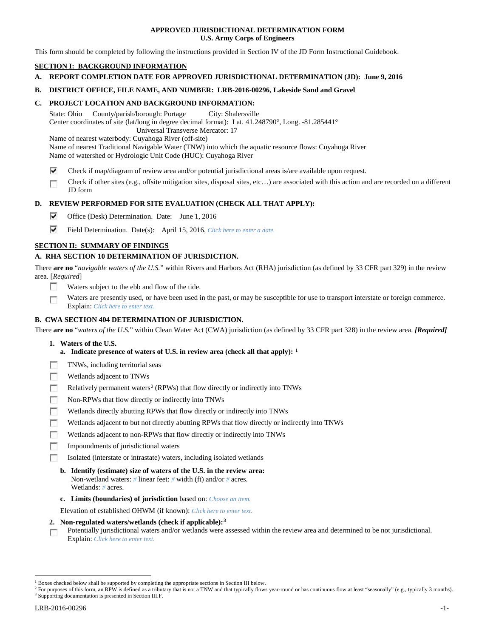## **APPROVED JURISDICTIONAL DETERMINATION FORM U.S. Army Corps of Engineers**

This form should be completed by following the instructions provided in Section IV of the JD Form Instructional Guidebook.

# **SECTION I: BACKGROUND INFORMATION**

**A. REPORT COMPLETION DATE FOR APPROVED JURISDICTIONAL DETERMINATION (JD): June 9, 2016**

## **B. DISTRICT OFFICE, FILE NAME, AND NUMBER: LRB-2016-00296, Lakeside Sand and Gravel**

## **C. PROJECT LOCATION AND BACKGROUND INFORMATION:**

State: Ohio County/parish/borough: Portage City: Shalersville Center coordinates of site (lat/long in degree decimal format): Lat. 41.248790°, Long. -81.285441° Universal Transverse Mercator: 17

Name of nearest waterbody: Cuyahoga River (off-site)

Name of nearest Traditional Navigable Water (TNW) into which the aquatic resource flows: Cuyahoga River Name of watershed or Hydrologic Unit Code (HUC): Cuyahoga River

- ⊽ Check if map/diagram of review area and/or potential jurisdictional areas is/are available upon request.
- Check if other sites (e.g., offsite mitigation sites, disposal sites, etc…) are associated with this action and are recorded on a different п JD form

## **D. REVIEW PERFORMED FOR SITE EVALUATION (CHECK ALL THAT APPLY):**

- ⊽ Office (Desk) Determination. Date: June 1, 2016
- ⊽ Field Determination. Date(s): April 15, 2016, *Click here to enter a date.*

## **SECTION II: SUMMARY OF FINDINGS**

# **A. RHA SECTION 10 DETERMINATION OF JURISDICTION.**

There **are no** "*navigable waters of the U.S.*" within Rivers and Harbors Act (RHA) jurisdiction (as defined by 33 CFR part 329) in the review area. [*Required*]

- Е Waters subject to the ebb and flow of the tide.
- Waters are presently used, or have been used in the past, or may be susceptible for use to transport interstate or foreign commerce. г Explain: *Click here to enter text.*

## **B. CWA SECTION 404 DETERMINATION OF JURISDICTION.**

There **are no** "*waters of the U.S.*" within Clean Water Act (CWA) jurisdiction (as defined by 33 CFR part 328) in the review area. *[Required]*

- **1. Waters of the U.S.**
	- **a. Indicate presence of waters of U.S. in review area (check all that apply): [1](#page-0-0)**
- F TNWs, including territorial seas
- п Wetlands adjacent to TNWs
- Relatively permanent waters<sup>[2](#page-0-1)</sup> (RPWs) that flow directly or indirectly into TNWs Е
- Е Non-RPWs that flow directly or indirectly into TNWs
- п Wetlands directly abutting RPWs that flow directly or indirectly into TNWs
- Wetlands adjacent to but not directly abutting RPWs that flow directly or indirectly into TNWs г
- Wetlands adjacent to non-RPWs that flow directly or indirectly into TNWs г
- п Impoundments of jurisdictional waters
- Isolated (interstate or intrastate) waters, including isolated wetlands n.
	- **b. Identify (estimate) size of waters of the U.S. in the review area:** Non-wetland waters: *#* linear feet: *#* width (ft) and/or *#* acres. Wetlands: *#* acres.
	- **c. Limits (boundaries) of jurisdiction** based on: *Choose an item.*

Elevation of established OHWM (if known): *Click here to enter text.*

- **2. Non-regulated waters/wetlands (check if applicable):[3](#page-0-2)**
- Potentially jurisdictional waters and/or wetlands were assessed within the review area and determined to be not jurisdictional. п Explain: *Click here to enter text.*

<span id="page-0-0"></span><sup>&</sup>lt;sup>1</sup> Boxes checked below shall be supported by completing the appropriate sections in Section III below.

<span id="page-0-2"></span><span id="page-0-1"></span><sup>&</sup>lt;sup>2</sup> For purposes of this form, an RPW is defined as a tributary that is not a TNW and that typically flows year-round or has continuous flow at least "seasonally" (e.g., typically 3 months). <sup>3</sup> Supporting documentation is presented in Section III.F.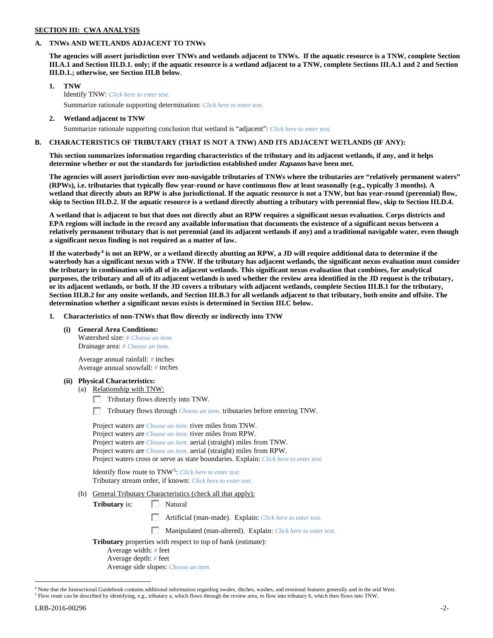### **SECTION III: CWA ANALYSIS**

### **A. TNWs AND WETLANDS ADJACENT TO TNWs**

**The agencies will assert jurisdiction over TNWs and wetlands adjacent to TNWs. If the aquatic resource is a TNW, complete Section III.A.1 and Section III.D.1. only; if the aquatic resource is a wetland adjacent to a TNW, complete Sections III.A.1 and 2 and Section III.D.1.; otherwise, see Section III.B below**.

- **1. TNW**  Identify TNW: *Click here to enter text.*
	- Summarize rationale supporting determination: *Click here to enter text.*
- **2. Wetland adjacent to TNW** Summarize rationale supporting conclusion that wetland is "adjacent": *Click here to enter text.*

## **B. CHARACTERISTICS OF TRIBUTARY (THAT IS NOT A TNW) AND ITS ADJACENT WETLANDS (IF ANY):**

**This section summarizes information regarding characteristics of the tributary and its adjacent wetlands, if any, and it helps determine whether or not the standards for jurisdiction established under Rapanos have been met.** 

**The agencies will assert jurisdiction over non-navigable tributaries of TNWs where the tributaries are "relatively permanent waters" (RPWs), i.e. tributaries that typically flow year-round or have continuous flow at least seasonally (e.g., typically 3 months). A wetland that directly abuts an RPW is also jurisdictional. If the aquatic resource is not a TNW, but has year-round (perennial) flow, skip to Section III.D.2. If the aquatic resource is a wetland directly abutting a tributary with perennial flow, skip to Section III.D.4.**

**A wetland that is adjacent to but that does not directly abut an RPW requires a significant nexus evaluation. Corps districts and EPA regions will include in the record any available information that documents the existence of a significant nexus between a relatively permanent tributary that is not perennial (and its adjacent wetlands if any) and a traditional navigable water, even though a significant nexus finding is not required as a matter of law.**

**If the waterbody[4](#page-1-0) is not an RPW, or a wetland directly abutting an RPW, a JD will require additional data to determine if the waterbody has a significant nexus with a TNW. If the tributary has adjacent wetlands, the significant nexus evaluation must consider the tributary in combination with all of its adjacent wetlands. This significant nexus evaluation that combines, for analytical purposes, the tributary and all of its adjacent wetlands is used whether the review area identified in the JD request is the tributary, or its adjacent wetlands, or both. If the JD covers a tributary with adjacent wetlands, complete Section III.B.1 for the tributary, Section III.B.2 for any onsite wetlands, and Section III.B.3 for all wetlands adjacent to that tributary, both onsite and offsite. The determination whether a significant nexus exists is determined in Section III.C below.**

**1. Characteristics of non-TNWs that flow directly or indirectly into TNW**

**(i) General Area Conditions:**

Watershed size: *# Choose an item.* Drainage area: *# Choose an item.*

Average annual rainfall: *#* inches Average annual snowfall: *#* inches

## **(ii) Physical Characteristics:**

- (a) Relationship with TNW:
	- Tributary flows directly into TNW.

Tributary flows through *Choose an item.* tributaries before entering TNW.

| Project waters are <i>Choose an item</i> , river miles from TNW.                      |
|---------------------------------------------------------------------------------------|
| Project waters are <i>Choose an item</i> , river miles from RPW.                      |
| Project waters are <i>Choose an item.</i> aerial (straight) miles from TNW.           |
| Project waters are <i>Choose an item.</i> aerial (straight) miles from RPW.           |
| Project waters cross or serve as state boundaries. Explain: Click here to enter text. |

Identify flow route to TNW[5:](#page-1-1) *Click here to enter text.* Tributary stream order, if known: *Click here to enter text.*

(b) General Tributary Characteristics (check all that apply):

**Tributary** is: Natural

Artificial (man-made). Explain: *Click here to enter text.*

 $\overline{\phantom{a}}$ Manipulated (man-altered). Explain: *Click here to enter text.*

**Tributary** properties with respect to top of bank (estimate):

- Average width: *#* feet
- Average depth: *#* feet Average side slopes: *Choose an item.*

<span id="page-1-0"></span><sup>&</sup>lt;sup>4</sup> Note that the Instructional Guidebook contains additional information regarding swales, ditches, washes, and erosional features generally and in the arid West.

<span id="page-1-1"></span><sup>5</sup> Flow route can be described by identifying, e.g., tributary a, which flows through the review area, to flow into tributary b, which then flows into TNW.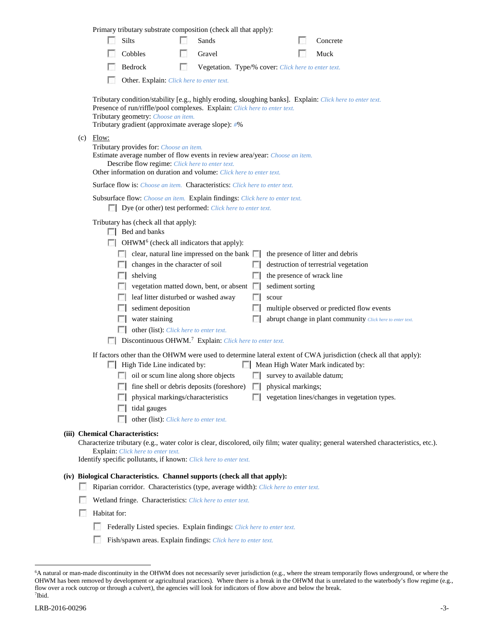|                                                                                                                                                                                                                                                                                     |                                                                                     |                                                                            | Primary tributary substrate composition (check all that apply):                                                                                                                                                                                                                                                                                                                                                                                                                                                              |   |                                                     |  |       |                           |                                                                                                                                                                                                                                                                                                                                          |  |
|-------------------------------------------------------------------------------------------------------------------------------------------------------------------------------------------------------------------------------------------------------------------------------------|-------------------------------------------------------------------------------------|----------------------------------------------------------------------------|------------------------------------------------------------------------------------------------------------------------------------------------------------------------------------------------------------------------------------------------------------------------------------------------------------------------------------------------------------------------------------------------------------------------------------------------------------------------------------------------------------------------------|---|-----------------------------------------------------|--|-------|---------------------------|------------------------------------------------------------------------------------------------------------------------------------------------------------------------------------------------------------------------------------------------------------------------------------------------------------------------------------------|--|
|                                                                                                                                                                                                                                                                                     |                                                                                     | L. S.                                                                      | Silts                                                                                                                                                                                                                                                                                                                                                                                                                                                                                                                        |   | Sands                                               |  |       |                           | Concrete                                                                                                                                                                                                                                                                                                                                 |  |
|                                                                                                                                                                                                                                                                                     |                                                                                     |                                                                            | Cobbles                                                                                                                                                                                                                                                                                                                                                                                                                                                                                                                      |   | Gravel                                              |  |       |                           | Muck                                                                                                                                                                                                                                                                                                                                     |  |
|                                                                                                                                                                                                                                                                                     |                                                                                     |                                                                            | Bedrock                                                                                                                                                                                                                                                                                                                                                                                                                                                                                                                      | п | Vegetation. Type/% cover: Click here to enter text. |  |       |                           |                                                                                                                                                                                                                                                                                                                                          |  |
|                                                                                                                                                                                                                                                                                     |                                                                                     |                                                                            | Other. Explain: Click here to enter text.                                                                                                                                                                                                                                                                                                                                                                                                                                                                                    |   |                                                     |  |       |                           |                                                                                                                                                                                                                                                                                                                                          |  |
| Tributary condition/stability [e.g., highly eroding, sloughing banks]. Explain: Click here to enter text.<br>Presence of run/riffle/pool complexes. Explain: Click here to enter text.<br>Tributary geometry: Choose an item.<br>Tributary gradient (approximate average slope): #% |                                                                                     |                                                                            |                                                                                                                                                                                                                                                                                                                                                                                                                                                                                                                              |   |                                                     |  |       |                           |                                                                                                                                                                                                                                                                                                                                          |  |
|                                                                                                                                                                                                                                                                                     | (c)                                                                                 | Flow:                                                                      | Tributary provides for: Choose an item.<br>Estimate average number of flow events in review area/year: Choose an item.<br>Describe flow regime: Click here to enter text.<br>Other information on duration and volume: Click here to enter text.                                                                                                                                                                                                                                                                             |   |                                                     |  |       |                           |                                                                                                                                                                                                                                                                                                                                          |  |
|                                                                                                                                                                                                                                                                                     |                                                                                     |                                                                            | Surface flow is: Choose an item. Characteristics: Click here to enter text.                                                                                                                                                                                                                                                                                                                                                                                                                                                  |   |                                                     |  |       |                           |                                                                                                                                                                                                                                                                                                                                          |  |
|                                                                                                                                                                                                                                                                                     |                                                                                     |                                                                            | Subsurface flow: Choose an item. Explain findings: Click here to enter text.<br>Dye (or other) test performed: Click here to enter text.                                                                                                                                                                                                                                                                                                                                                                                     |   |                                                     |  |       |                           |                                                                                                                                                                                                                                                                                                                                          |  |
|                                                                                                                                                                                                                                                                                     |                                                                                     |                                                                            | Tributary has (check all that apply):<br>$\Box$ Bed and banks<br>$\Box$ OHWM <sup>6</sup> (check all indicators that apply):<br>$\Box$ clear, natural line impressed on the bank $\Box$<br>$\Box$ changes in the character of soil<br>shelving<br>L. S. B<br>$\Box$ vegetation matted down, bent, or absent $\Box$<br>leaf litter disturbed or washed away<br>sediment deposition<br>water staining<br>other (list): <i>Click here to enter text.</i><br>Discontinuous OHWM. <sup>7</sup> Explain: Click here to enter text. |   |                                                     |  | scour | sediment sorting          | the presence of litter and debris<br>destruction of terrestrial vegetation<br>the presence of wrack line<br>multiple observed or predicted flow events<br>abrupt change in plant community Click here to enter text.<br>If factors other than the OHWM were used to determine lateral extent of CWA jurisdiction (check all that apply): |  |
|                                                                                                                                                                                                                                                                                     |                                                                                     |                                                                            | High Tide Line indicated by:                                                                                                                                                                                                                                                                                                                                                                                                                                                                                                 |   |                                                     |  |       |                           | Mean High Water Mark indicated by:                                                                                                                                                                                                                                                                                                       |  |
|                                                                                                                                                                                                                                                                                     |                                                                                     |                                                                            | oil or scum line along shore objects                                                                                                                                                                                                                                                                                                                                                                                                                                                                                         |   |                                                     |  |       |                           | $\Box$ survey to available datum;                                                                                                                                                                                                                                                                                                        |  |
|                                                                                                                                                                                                                                                                                     |                                                                                     |                                                                            | $\Box$ fine shell or debris deposits (foreshore)                                                                                                                                                                                                                                                                                                                                                                                                                                                                             |   | physical markings/characteristics                   |  |       | $\Box$ physical markings; | vegetation lines/changes in vegetation types.                                                                                                                                                                                                                                                                                            |  |
|                                                                                                                                                                                                                                                                                     |                                                                                     |                                                                            | tidal gauges                                                                                                                                                                                                                                                                                                                                                                                                                                                                                                                 |   |                                                     |  |       |                           |                                                                                                                                                                                                                                                                                                                                          |  |
|                                                                                                                                                                                                                                                                                     |                                                                                     |                                                                            | other (list): Click here to enter text.                                                                                                                                                                                                                                                                                                                                                                                                                                                                                      |   |                                                     |  |       |                           |                                                                                                                                                                                                                                                                                                                                          |  |
|                                                                                                                                                                                                                                                                                     |                                                                                     |                                                                            | (iii) Chemical Characteristics:<br>Explain: Click here to enter text.                                                                                                                                                                                                                                                                                                                                                                                                                                                        |   |                                                     |  |       |                           | Characterize tributary (e.g., water color is clear, discolored, oily film; water quality; general watershed characteristics, etc.).                                                                                                                                                                                                      |  |
|                                                                                                                                                                                                                                                                                     |                                                                                     |                                                                            | Identify specific pollutants, if known: Click here to enter text.                                                                                                                                                                                                                                                                                                                                                                                                                                                            |   |                                                     |  |       |                           |                                                                                                                                                                                                                                                                                                                                          |  |
|                                                                                                                                                                                                                                                                                     |                                                                                     |                                                                            | (iv) Biological Characteristics. Channel supports (check all that apply):                                                                                                                                                                                                                                                                                                                                                                                                                                                    |   |                                                     |  |       |                           |                                                                                                                                                                                                                                                                                                                                          |  |
|                                                                                                                                                                                                                                                                                     | Riparian corridor. Characteristics (type, average width): Click here to enter text. |                                                                            |                                                                                                                                                                                                                                                                                                                                                                                                                                                                                                                              |   |                                                     |  |       |                           |                                                                                                                                                                                                                                                                                                                                          |  |
|                                                                                                                                                                                                                                                                                     |                                                                                     | Wetland fringe. Characteristics: Click here to enter text.<br>Habitat for: |                                                                                                                                                                                                                                                                                                                                                                                                                                                                                                                              |   |                                                     |  |       |                           |                                                                                                                                                                                                                                                                                                                                          |  |
|                                                                                                                                                                                                                                                                                     |                                                                                     | u                                                                          |                                                                                                                                                                                                                                                                                                                                                                                                                                                                                                                              |   |                                                     |  |       |                           |                                                                                                                                                                                                                                                                                                                                          |  |
|                                                                                                                                                                                                                                                                                     |                                                                                     |                                                                            | Federally Listed species. Explain findings: Click here to enter text.                                                                                                                                                                                                                                                                                                                                                                                                                                                        |   |                                                     |  |       |                           |                                                                                                                                                                                                                                                                                                                                          |  |
|                                                                                                                                                                                                                                                                                     |                                                                                     |                                                                            | Fish/spawn areas. Explain findings: Click here to enter text.                                                                                                                                                                                                                                                                                                                                                                                                                                                                |   |                                                     |  |       |                           |                                                                                                                                                                                                                                                                                                                                          |  |

<span id="page-2-1"></span><span id="page-2-0"></span> <sup>6</sup> <sup>6</sup>A natural or man-made discontinuity in the OHWM does not necessarily sever jurisdiction (e.g., where the stream temporarily flows underground, or where the OHWM has been removed by development or agricultural practices). Where there is a break in the OHWM that is unrelated to the waterbody's flow regime (e.g., flow over a rock outcrop or through a culvert), the agencies will look for indicators of flow above and below the break. 7 Ibid.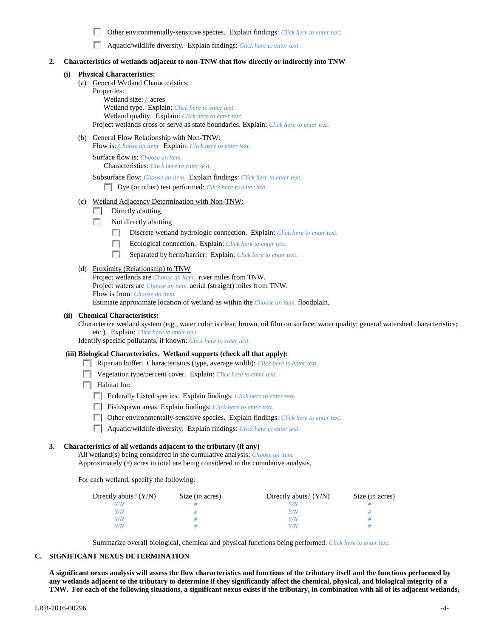п Other environmentally-sensitive species. Explain findings: *Click here to enter text.*

Aquatic/wildlife diversity. Explain findings: *Click here to enter text.*

### **2. Characteristics of wetlands adjacent to non-TNW that flow directly or indirectly into TNW**

### **(i) Physical Characteristics:**

- (a) General Wetland Characteristics:
	- Properties:

Wetland size: *#* acres Wetland type. Explain: *Click here to enter text.* Wetland quality. Explain: *Click here to enter text.* Project wetlands cross or serve as state boundaries. Explain: *Click here to enter text.*

(b) General Flow Relationship with Non-TNW:

Flow is: *Choose an item.* Explain: *Click here to enter text.*

Surface flow is: *Choose an item.* Characteristics: *Click here to enter text.*

Subsurface flow: *Choose an item.* Explain findings: *Click here to enter text.*

Dye (or other) test performed: *Click here to enter text.*

- (c) Wetland Adjacency Determination with Non-TNW:
	- $\Box$  Directly abutting
	- $\Box$  Not directly abutting
		- **1999** Discrete wetland hydrologic connection. Explain: *Click here to enter text.*
		- E. Ecological connection. Explain: *Click here to enter text.*
		- $\mathcal{L}$ Separated by berm/barrier. Explain: *Click here to enter text.*

### (d) Proximity (Relationship) to TNW

Project wetlands are *Choose an item.* river miles from TNW. Project waters are *Choose an item.* aerial (straight) miles from TNW. Flow is from: *Choose an item.* Estimate approximate location of wetland as within the *Choose an item.* floodplain.

### **(ii) Chemical Characteristics:**

Characterize wetland system (e.g., water color is clear, brown, oil film on surface; water quality; general watershed characteristics; etc.). Explain: *Click here to enter text.*

Identify specific pollutants, if known: *Click here to enter text.*

#### **(iii) Biological Characteristics. Wetland supports (check all that apply):**

- Riparian buffer. Characteristics (type, average width): *Click here to enter text.*
- Vegetation type/percent cover. Explain: *Click here to enter text.*
- $\Box$  Habitat for:
	- Federally Listed species. Explain findings: *Click here to enter text*.
	- Fish/spawn areas. Explain findings: *Click here to enter text.*
	- Other environmentally-sensitive species. Explain findings: *Click here to enter text.*
	- Aquatic/wildlife diversity. Explain findings: *Click here to enter text.*

### **3. Characteristics of all wetlands adjacent to the tributary (if any)**

All wetland(s) being considered in the cumulative analysis: *Choose an item.* Approximately (*#*) acres in total are being considered in the cumulative analysis.

For each wetland, specify the following:

| Directly abuts? $(Y/N)$ | Size (in acres) | Directly abuts? $(Y/N)$ | Size (in acres) |
|-------------------------|-----------------|-------------------------|-----------------|
|                         |                 |                         |                 |
|                         |                 | Y/N                     |                 |
|                         |                 | Y/N                     |                 |
|                         |                 | 77 N                    |                 |

Summarize overall biological, chemical and physical functions being performed: *Click here to enter text.*

### **C. SIGNIFICANT NEXUS DETERMINATION**

**A significant nexus analysis will assess the flow characteristics and functions of the tributary itself and the functions performed by any wetlands adjacent to the tributary to determine if they significantly affect the chemical, physical, and biological integrity of a TNW. For each of the following situations, a significant nexus exists if the tributary, in combination with all of its adjacent wetlands,**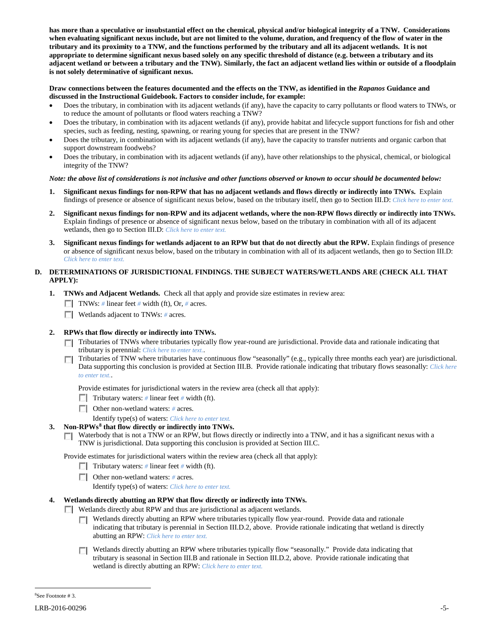**has more than a speculative or insubstantial effect on the chemical, physical and/or biological integrity of a TNW. Considerations when evaluating significant nexus include, but are not limited to the volume, duration, and frequency of the flow of water in the tributary and its proximity to a TNW, and the functions performed by the tributary and all its adjacent wetlands. It is not appropriate to determine significant nexus based solely on any specific threshold of distance (e.g. between a tributary and its adjacent wetland or between a tributary and the TNW). Similarly, the fact an adjacent wetland lies within or outside of a floodplain is not solely determinative of significant nexus.** 

## **Draw connections between the features documented and the effects on the TNW, as identified in the** *Rapanos* **Guidance and discussed in the Instructional Guidebook. Factors to consider include, for example:**

- Does the tributary, in combination with its adjacent wetlands (if any), have the capacity to carry pollutants or flood waters to TNWs, or to reduce the amount of pollutants or flood waters reaching a TNW?
- Does the tributary, in combination with its adjacent wetlands (if any), provide habitat and lifecycle support functions for fish and other species, such as feeding, nesting, spawning, or rearing young for species that are present in the TNW?
- Does the tributary, in combination with its adjacent wetlands (if any), have the capacity to transfer nutrients and organic carbon that support downstream foodwebs?
- Does the tributary, in combination with its adjacent wetlands (if any), have other relationships to the physical, chemical, or biological integrity of the TNW?

## *Note: the above list of considerations is not inclusive and other functions observed or known to occur should be documented below:*

- **1. Significant nexus findings for non-RPW that has no adjacent wetlands and flows directly or indirectly into TNWs.** Explain findings of presence or absence of significant nexus below, based on the tributary itself, then go to Section III.D: *Click here to enter text.*
- **2. Significant nexus findings for non-RPW and its adjacent wetlands, where the non-RPW flows directly or indirectly into TNWs.**  Explain findings of presence or absence of significant nexus below, based on the tributary in combination with all of its adjacent wetlands, then go to Section III.D: *Click here to enter text.*
- **3. Significant nexus findings for wetlands adjacent to an RPW but that do not directly abut the RPW.** Explain findings of presence or absence of significant nexus below, based on the tributary in combination with all of its adjacent wetlands, then go to Section III.D: *Click here to enter text.*

# **D. DETERMINATIONS OF JURISDICTIONAL FINDINGS. THE SUBJECT WATERS/WETLANDS ARE (CHECK ALL THAT APPLY):**

- **1. TNWs and Adjacent Wetlands.** Check all that apply and provide size estimates in review area:
	- TNWs: *#* linear feet *#* width (ft), Or, *#* acres.
	- **Wetlands adjacent to TNWs:** # acres.

# **2. RPWs that flow directly or indirectly into TNWs.**

- Tributaries of TNWs where tributaries typically flow year-round are jurisdictional. Provide data and rationale indicating that tributary is perennial: *Click here to enter text.*.
- Tributaries of TNW where tributaries have continuous flow "seasonally" (e.g., typically three months each year) are jurisdictional. Data supporting this conclusion is provided at Section III.B. Provide rationale indicating that tributary flows seasonally: *Click here to enter text.*.

Provide estimates for jurisdictional waters in the review area (check all that apply):

- Tributary waters: # linear feet # width (ft).
- Other non-wetland waters: *#* acres.

Identify type(s) of waters: *Click here to enter text.*

- **3. Non-RPWs[8](#page-4-0) that flow directly or indirectly into TNWs.**
	- Waterbody that is not a TNW or an RPW, but flows directly or indirectly into a TNW, and it has a significant nexus with a TNW is jurisdictional. Data supporting this conclusion is provided at Section III.C.

Provide estimates for jurisdictional waters within the review area (check all that apply):

- Tributary waters: # linear feet # width (ft).
- Other non-wetland waters: *#* acres.
	- Identify type(s) of waters: *Click here to enter text.*

# **4. Wetlands directly abutting an RPW that flow directly or indirectly into TNWs.**

- Wetlands directly abut RPW and thus are jurisdictional as adjacent wetlands.
	- Wetlands directly abutting an RPW where tributaries typically flow year-round. Provide data and rationale indicating that tributary is perennial in Section III.D.2, above. Provide rationale indicating that wetland is directly abutting an RPW: *Click here to enter text.*
	- **T** Wetlands directly abutting an RPW where tributaries typically flow "seasonally." Provide data indicating that tributary is seasonal in Section III.B and rationale in Section III.D.2, above. Provide rationale indicating that wetland is directly abutting an RPW: *Click here to enter text.*

<span id="page-4-0"></span> $\frac{1}{8}$ See Footnote # 3.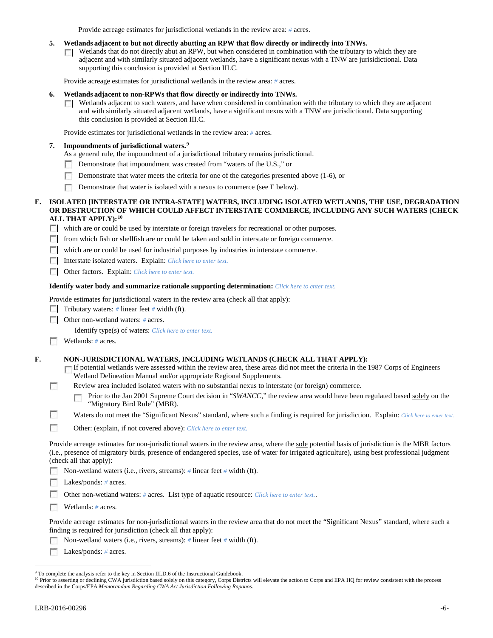Provide acreage estimates for jurisdictional wetlands in the review area: *#* acres.

### **5. Wetlands adjacent to but not directly abutting an RPW that flow directly or indirectly into TNWs.**

Wetlands that do not directly abut an RPW, but when considered in combination with the tributary to which they are **TI** adjacent and with similarly situated adjacent wetlands, have a significant nexus with a TNW are jurisidictional. Data supporting this conclusion is provided at Section III.C.

Provide acreage estimates for jurisdictional wetlands in the review area: *#* acres.

### **6. Wetlands adjacent to non-RPWs that flow directly or indirectly into TNWs.**

Wetlands adjacent to such waters, and have when considered in combination with the tributary to which they are adjacent  $\Box$ and with similarly situated adjacent wetlands, have a significant nexus with a TNW are jurisdictional. Data supporting this conclusion is provided at Section III.C.

Provide estimates for jurisdictional wetlands in the review area: *#* acres.

## **7. Impoundments of jurisdictional waters. [9](#page-5-0)**

- As a general rule, the impoundment of a jurisdictional tributary remains jurisdictional.
- Demonstrate that impoundment was created from "waters of the U.S.," or n.
- Demonstrate that water meets the criteria for one of the categories presented above (1-6), or
- Demonstrate that water is isolated with a nexus to commerce (see E below).

### **E. ISOLATED [INTERSTATE OR INTRA-STATE] WATERS, INCLUDING ISOLATED WETLANDS, THE USE, DEGRADATION OR DESTRUCTION OF WHICH COULD AFFECT INTERSTATE COMMERCE, INCLUDING ANY SUCH WATERS (CHECK ALL THAT APPLY):[10](#page-5-1)**

which are or could be used by interstate or foreign travelers for recreational or other purposes.

**F** from which fish or shellfish are or could be taken and sold in interstate or foreign commerce.

which are or could be used for industrial purposes by industries in interstate commerce.

Interstate isolated waters.Explain: *Click here to enter text.*

Other factors.Explain: *Click here to enter text.*

## **Identify water body and summarize rationale supporting determination:** *Click here to enter text.*

Provide estimates for jurisdictional waters in the review area (check all that apply):

Tributary waters: # linear feet # width (ft).

Other non-wetland waters: *#* acres.

Identify type(s) of waters: *Click here to enter text.*

Wetlands: # acres.

г

**F. NON-JURISDICTIONAL WATERS, INCLUDING WETLANDS (CHECK ALL THAT APPLY):**

If potential wetlands were assessed within the review area, these areas did not meet the criteria in the 1987 Corps of Engineers Wetland Delineation Manual and/or appropriate Regional Supplements.

Review area included isolated waters with no substantial nexus to interstate (or foreign) commerce.

Prior to the Jan 2001 Supreme Court decision in "*SWANCC*," the review area would have been regulated based solely on the г "Migratory Bird Rule" (MBR).

n Waters do not meet the "Significant Nexus" standard, where such a finding is required for jurisdiction. Explain: *Click here to enter text.* 

**In** Other: (explain, if not covered above): *Click here to enter text.*

Provide acreage estimates for non-jurisdictional waters in the review area, where the sole potential basis of jurisdiction is the MBR factors (i.e., presence of migratory birds, presence of endangered species, use of water for irrigated agriculture), using best professional judgment (check all that apply):

Non-wetland waters (i.e., rivers, streams): *#* linear feet *#* width (ft).

 $\sim$ Lakes/ponds: *#* acres.

Other non-wetland waters: *#* acres. List type of aquatic resource: *Click here to enter text.*.

Wetlands: # acres.

Provide acreage estimates for non-jurisdictional waters in the review area that do not meet the "Significant Nexus" standard, where such a finding is required for jurisdiction (check all that apply):

Non-wetland waters (i.e., rivers, streams): *#* linear feet *#* width (ft).

Г Lakes/ponds: *#* acres.

<span id="page-5-0"></span><sup>&</sup>lt;sup>9</sup> To complete the analysis refer to the key in Section III.D.6 of the Instructional Guidebook.

<span id="page-5-1"></span><sup>&</sup>lt;sup>10</sup> Prior to asserting or declining CWA jurisdiction based solely on this category, Corps Districts will elevate the action to Corps and EPA HQ for review consistent with the process described in the Corps/EPA *Memorandum Regarding CWA Act Jurisdiction Following Rapanos.*